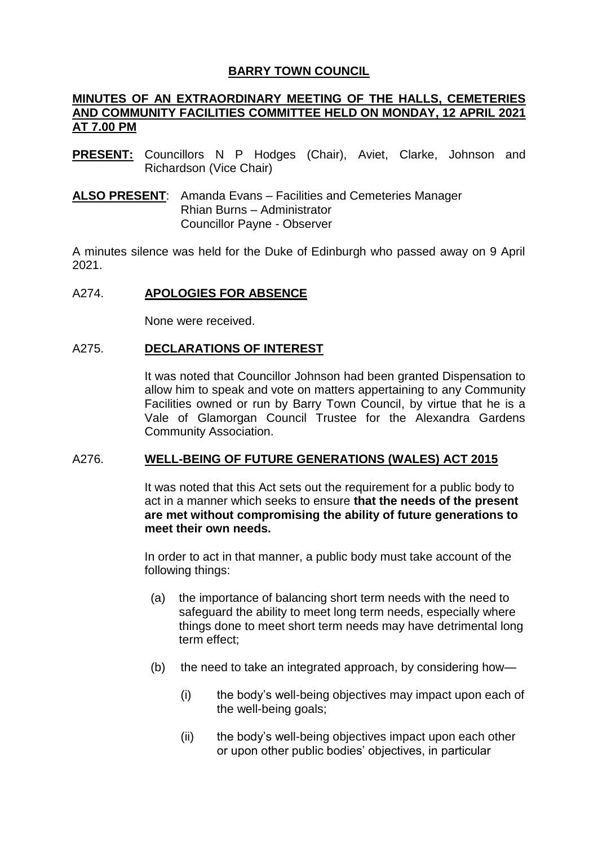# **BARRY TOWN COUNCIL**

## **MINUTES OF AN EXTRAORDINARY MEETING OF THE HALLS, CEMETERIES AND COMMUNITY FACILITIES COMMITTEE HELD ON MONDAY, 12 APRIL 2021 AT 7.00 PM**

- **PRESENT:** Councillors N P Hodges (Chair), Aviet, Clarke, Johnson and Richardson (Vice Chair)
- **ALSO PRESENT**: Amanda Evans Facilities and Cemeteries Manager Rhian Burns – Administrator Councillor Payne - Observer

A minutes silence was held for the Duke of Edinburgh who passed away on 9 April 2021.

## A274. **APOLOGIES FOR ABSENCE**

None were received.

## A275. **DECLARATIONS OF INTEREST**

It was noted that Councillor Johnson had been granted Dispensation to allow him to speak and vote on matters appertaining to any Community Facilities owned or run by Barry Town Council, by virtue that he is a Vale of Glamorgan Council Trustee for the Alexandra Gardens Community Association.

# A276. **WELL-BEING OF FUTURE GENERATIONS (WALES) ACT 2015**

It was noted that this Act sets out the requirement for a public body to act in a manner which seeks to ensure **that the needs of the present are met without compromising the ability of future generations to meet their own needs.**

In order to act in that manner, a public body must take account of the following things:

- (a) the importance of balancing short term needs with the need to safeguard the ability to meet long term needs, especially where things done to meet short term needs may have detrimental long term effect;
- (b) the need to take an integrated approach, by considering how—
	- (i) the body's well-being objectives may impact upon each of the well-being goals;
	- (ii) the body's well-being objectives impact upon each other or upon other public bodies' objectives, in particular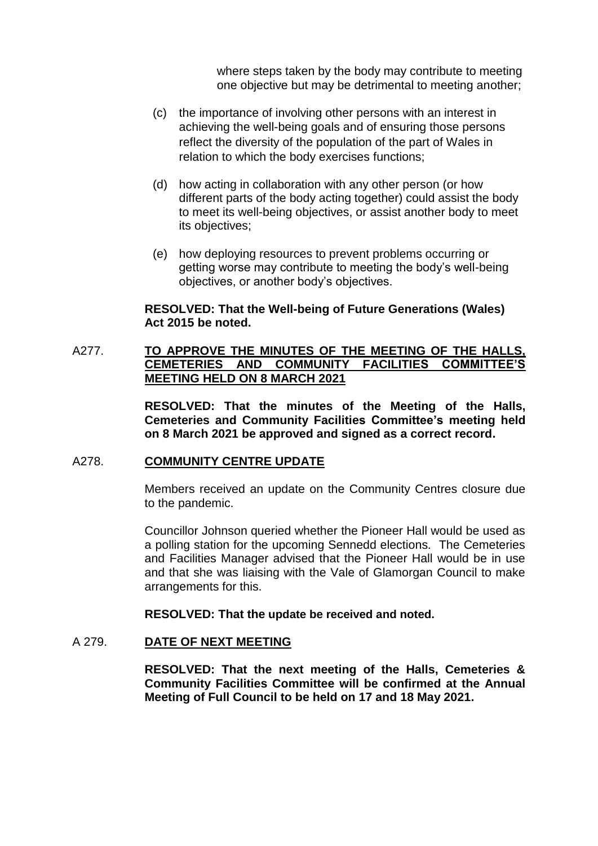where steps taken by the body may contribute to meeting one objective but may be detrimental to meeting another;

- (c) the importance of involving other persons with an interest in achieving the well-being goals and of ensuring those persons reflect the diversity of the population of the part of Wales in relation to which the body exercises functions;
- (d) how acting in collaboration with any other person (or how different parts of the body acting together) could assist the body to meet its well-being objectives, or assist another body to meet its objectives;
- (e) how deploying resources to prevent problems occurring or getting worse may contribute to meeting the body's well-being objectives, or another body's objectives.

### **RESOLVED: That the Well-being of Future Generations (Wales) Act 2015 be noted.**

## A277. **TO APPROVE THE MINUTES OF THE MEETING OF THE HALLS, CEMETERIES AND COMMUNITY FACILITIES COMMITTEE'S MEETING HELD ON 8 MARCH 2021**

**RESOLVED: That the minutes of the Meeting of the Halls, Cemeteries and Community Facilities Committee's meeting held on 8 March 2021 be approved and signed as a correct record.**

## A278. **COMMUNITY CENTRE UPDATE**

Members received an update on the Community Centres closure due to the pandemic.

Councillor Johnson queried whether the Pioneer Hall would be used as a polling station for the upcoming Sennedd elections. The Cemeteries and Facilities Manager advised that the Pioneer Hall would be in use and that she was liaising with the Vale of Glamorgan Council to make arrangements for this.

**RESOLVED: That the update be received and noted.**

## A 279. **DATE OF NEXT MEETING**

**RESOLVED: That the next meeting of the Halls, Cemeteries & Community Facilities Committee will be confirmed at the Annual Meeting of Full Council to be held on 17 and 18 May 2021.**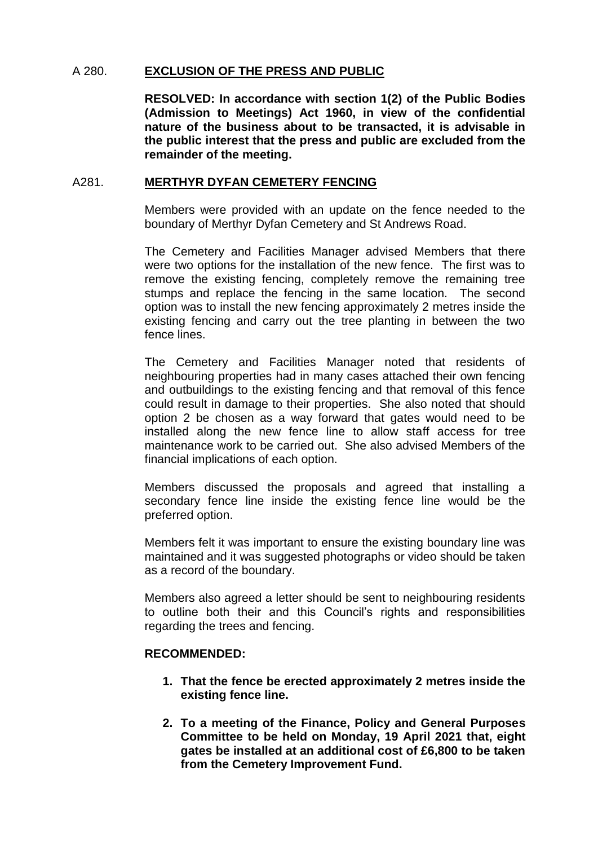## A 280. **EXCLUSION OF THE PRESS AND PUBLIC**

**RESOLVED: In accordance with section 1(2) of the Public Bodies (Admission to Meetings) Act 1960, in view of the confidential nature of the business about to be transacted, it is advisable in the public interest that the press and public are excluded from the remainder of the meeting.**

### A281. **MERTHYR DYFAN CEMETERY FENCING**

Members were provided with an update on the fence needed to the boundary of Merthyr Dyfan Cemetery and St Andrews Road.

The Cemetery and Facilities Manager advised Members that there were two options for the installation of the new fence. The first was to remove the existing fencing, completely remove the remaining tree stumps and replace the fencing in the same location. The second option was to install the new fencing approximately 2 metres inside the existing fencing and carry out the tree planting in between the two fence lines.

The Cemetery and Facilities Manager noted that residents of neighbouring properties had in many cases attached their own fencing and outbuildings to the existing fencing and that removal of this fence could result in damage to their properties. She also noted that should option 2 be chosen as a way forward that gates would need to be installed along the new fence line to allow staff access for tree maintenance work to be carried out. She also advised Members of the financial implications of each option.

Members discussed the proposals and agreed that installing a secondary fence line inside the existing fence line would be the preferred option.

Members felt it was important to ensure the existing boundary line was maintained and it was suggested photographs or video should be taken as a record of the boundary.

Members also agreed a letter should be sent to neighbouring residents to outline both their and this Council's rights and responsibilities regarding the trees and fencing.

### **RECOMMENDED:**

- **1. That the fence be erected approximately 2 metres inside the existing fence line.**
- **2. To a meeting of the Finance, Policy and General Purposes Committee to be held on Monday, 19 April 2021 that, eight gates be installed at an additional cost of £6,800 to be taken from the Cemetery Improvement Fund.**